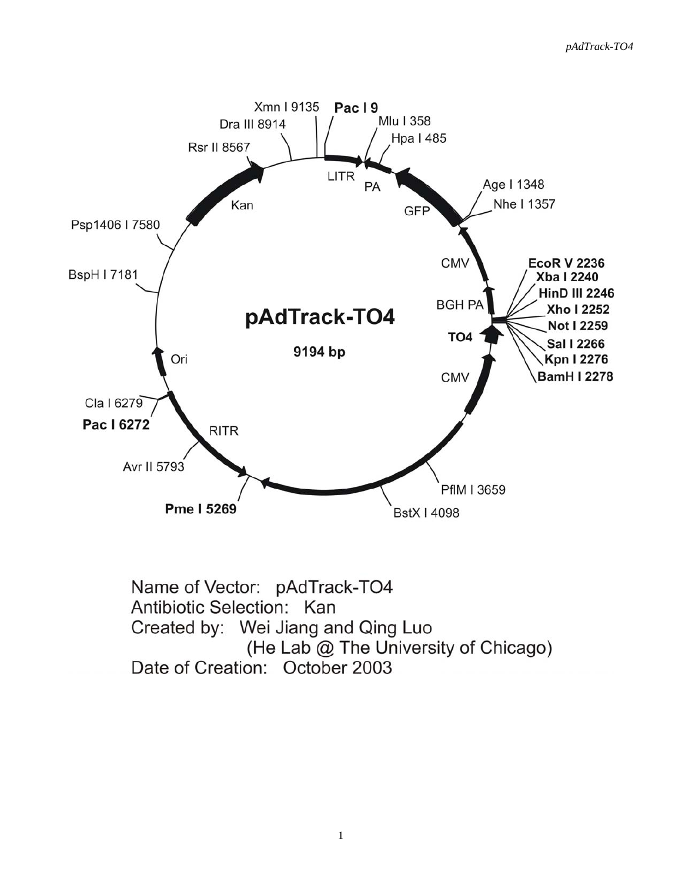

Name of Vector: pAdTrack-TO4 Antibiotic Selection: Kan Created by: Wei Jiang and Qing Luo (He Lab @ The University of Chicago) Date of Creation: October 2003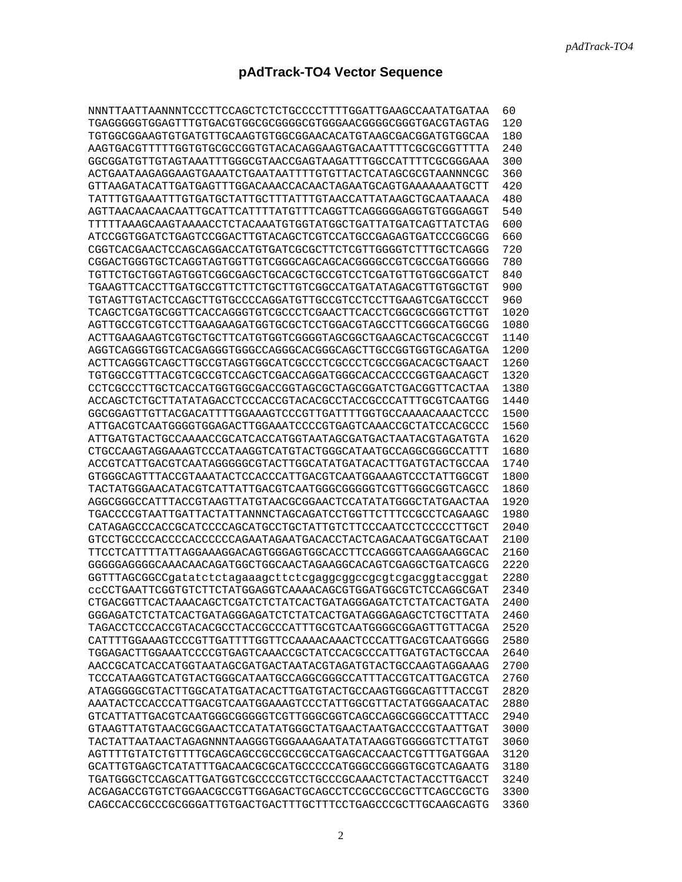## **pAdTrack-TO4 Vector Sequence**

| NNNTTAATTAANNNTCCCTTCCAGCTCTCTGCCCCTTTTGGATTGAAGCCAATATGATAA                                                                 | 60   |
|------------------------------------------------------------------------------------------------------------------------------|------|
| TGAGGGGGTGGAGTTTGTGACGTGGCGCGGGGCGTGGGAACGGGGCGGGTGACGTAGTAG                                                                 | 120  |
| TGTGGCGGAAGTGTGATGTTGCAAGTGTGGCGGAACACATGTAAGCGACGGATGTGGCAA                                                                 | 180  |
| AAGTGACGTTTTTGGTGTGCGCCGGTGTACACAGGAAGTGACAATTTTCGCGCGGTTTTA                                                                 | 240  |
| GGCGGATGTTGTAGTAAATTTGGGCGTAACCGAGTAAGATTTGGCCATTTTCGCGGGAAA                                                                 | 300  |
| ACTGAATAAGAGGAAGTGAAATCTGAATAATTTTGTGTTACTCATAGCGCGTAANNNCGC                                                                 | 360  |
| GTTAAGATACATTGATGAGTTTGGACAAACCACAACTAGAATGCAGTGAAAAAAATGCTT                                                                 | 420  |
| TATTTGTGAAATTTGTGATGCTATTGCTTTATTTGTAACCATTATAAGCTGCAATAAACA                                                                 | 480  |
| AGTTAACAACAACAATTGCATTCATTTTATGTTTCAGGTTCAGGGGAGGTGTGGGAGGT                                                                  | 540  |
| TTTTTAAAGCAAGTAAAACCTCTACAAATGTGGTATGGCTGATTATGATCAGTTATCTAG                                                                 | 600  |
| ATCCGGTGGATCTGAGTCCGGACTTGTACAGCTCGTCCATGCCGAGAGTGATCCCGGCGG                                                                 | 660  |
| CGGTCACGAACTCCAGCAGGACCATGTGATCGCGCTTCTCGTTGGGGTCTTTGCTCAGGG                                                                 | 720  |
| CGGACTGGGTGCTCAGGTAGTGGTTGTCGGGCAGCAGCACGGGCCCGTCGCCGATGGGGG                                                                 | 780  |
| TGTTCTGCTGGTAGTGGTCGGCGAGCTGCACGCTGCCGTCCTCGATGTTGTGGCGGATCT                                                                 | 840  |
| TGAAGTTCACCTTGATGCCGTTCTTCTGCTTGTCGGCCATGATATAGACGTTGTGGCTGT                                                                 | 900  |
| TGTAGTTGTACTCCAGCTTGTGCCCCAGGATGTTGCCGTCCTCCTTGAAGTCGATGCCCT                                                                 | 960  |
| TCAGCTCGATGCGGTTCACCAGGGTGTCGCCCTCGAACTTCACCTCGGCGCGGGTCTTGT                                                                 | 1020 |
| AGTTGCCGTCCTTGAAGAAGATGGTGCGCTCCTGGACGTAGCCTTCGGGCATGGCGG                                                                    | 1080 |
| ACTTGAAGAAGTCGTGCTGCTTCATGTGGTCGGGGTAGCGCTGAAGCACTGCACGCCGT                                                                  | 1140 |
| AGGTCAGGGTGGTCACGAGGGTGGCCAGGGCACGGCAGCTTGCCGGTGGTGCAGATGA                                                                   | 1200 |
| ACTTCAGGGTCAGCTTGCCGTAGGTGGCATCGCCCTCGCCCTCGCCGGACACGCTGAACT                                                                 | 1260 |
| TGTGGCCGTTTACGTCGCCGTCCAGCTCGACCAGGATGGGCACCACCCCGGTGAACAGCT                                                                 | 1320 |
| CCTCGCCCTTGCTCACCATGGTGGCGACCGGTAGCGCTAGCGGATCTGACGGTTCACTAA                                                                 | 1380 |
| ACCAGCTCTGCTTATATAGACCTCCCACCGTACACGCCTACCGCCCATTTGCGTCAATGG                                                                 | 1440 |
|                                                                                                                              | 1500 |
| ATTGACGTCAATGGGGTGGAGACTTGGAAATCCCCGTGAGTCAAACCGCTATCCACGCCC                                                                 | 1560 |
| ATTGATGTACTGCCAAAACCGCATCACCATGGTAATAGCGATGACTAATACGTAGATGTA                                                                 | 1620 |
| CTGCCAAGTAGGAAAGTCCCATAAGGTCATGTACTGGGCATAATGCCAGGCGGCCATTT                                                                  | 1680 |
| ACCGTCATTGACGTCAATAGGGGGCGTACTTGGCATATGATACACTTGATGTACTGCCAA                                                                 | 1740 |
| GTGGGCAGTTTACCGTAAATACTCCACCCATTGACGTCAATGGAAAGTCCCTATTGGCGT                                                                 | 1800 |
| TACTATGGGAACATACGTCATTATTGACGTCAATGGGCGGGGGTCGTTGGGCGGTCAGCC                                                                 | 1860 |
| AGGCGGCCCATTTACCGTAAGTTATGTAACGCGGAACTCCATATATGGGCTATGAACTAA                                                                 | 1920 |
| TGACCCCGTAATTGATTACTATTANNNCTAGCAGATCCTGGTTCTTTCCGCCTCAGAAGC                                                                 | 1980 |
| CATAGAGCCCACCGCATCCCCAGCATGCCTGCTATTGTCTTCCCAATCCTCCCCCTTGCT                                                                 | 2040 |
| GTCCTGCCCCACCCCACCCCCCAGAATAGAATGACACCTACTCAGACAATGCGATGCAAT                                                                 | 2100 |
|                                                                                                                              | 2160 |
| GGGGGAGGGCAAACAACAGATGGCTGGCAACTAGAAGGCACAGTCGAGGCTGATCAGCG                                                                  | 2220 |
| GGTTTAGCGGCCgatatctctagaaagcttctcgaggcggccgcgtcgacggtaccggat                                                                 | 2280 |
| CCCCTGAATTCGGTGTCTTCTATGGAGGTCAAAACAGCGTGGATGGCGTCTCCAGGCGAT                                                                 | 2340 |
| CTGACGGTTCACTAAACAGCTCGATCTCTATCACTGATAGGGAGATCTCTATCACTGATA                                                                 | 2400 |
| GGGAGATCTCTATCACTGATAGGGAGATCTCTATCACTGATAGGGAGAGCTCTGCTTATA                                                                 | 2460 |
| TAGACCTCCCACCGTACACGCCTACCGCCCATTTGCGTCAATGGGGCGGAGTTGTTACGA                                                                 | 2520 |
|                                                                                                                              | 2580 |
| TGGAGACTTGGAAATCCCCGTGAGTCAAACCGCTATCCACGCCCATTGATGTACTGCCAA                                                                 | 2640 |
| AACCGCATCACCATGGTAATAGCGATGACTAATACGTAGATGTACTGCCAAGTAGGAAAG                                                                 | 2700 |
| TCCCATAAGGTCATGTACTGGGCATAATGCCAGGCGGCCATTTACCGTCATTGACGTCA                                                                  | 2760 |
| ATAGGGGGCGTACTTGGCATATGATACACTTGATGTACTGCCAAGTGGGCAGTTTACCGT                                                                 | 2820 |
| AAATACTCCACCCATTGACGTCAATGGAAAGTCCCTATTGGCGTTACTATGGGAACATAC                                                                 | 2880 |
| GTCATTATTGACGTCAATGGGCGGGGGTCGTTGGGCGGTCAGCCAGGCGGCCATTTACC                                                                  | 2940 |
|                                                                                                                              | 3000 |
| GTAAGTTATGTAACGCGGAACTCCATATATGGGCTATGAACTAATGACCCCGTAATTGAT<br>TACTATTAATAACTAGAGNNNTAAGGGTGGGAAAGAATATATAAGGTGGGGGTCTTATGT | 3060 |
| AGTTTTGTATCTGTTTTGCAGCAGCCGCCGCCGCCATGAGCACCAACTCGTTTGATGGAA                                                                 | 3120 |
| GCATTGTGAGCTCATATTTGACAACGCGCATGCCCCCATGGGCCGGGGTGCGTCAGAATG                                                                 | 3180 |
| TGATGGGCTCCAGCATTGATGGTCGCCCCGTCCTGCCCGCAAACTCTACTACCTTGACCT                                                                 | 3240 |
| ACGAGACCGTGTCTGGAACGCCGTTGGAGACTGCAGCCTCCGCCGCCGCTTCAGCCGCTG                                                                 | 3300 |
|                                                                                                                              |      |
| CAGCCACCGCCCGCGGGATTGTGACTGACTTTGCTTTCCTGAGCCCGCTTGCAAGCAGTG                                                                 | 3360 |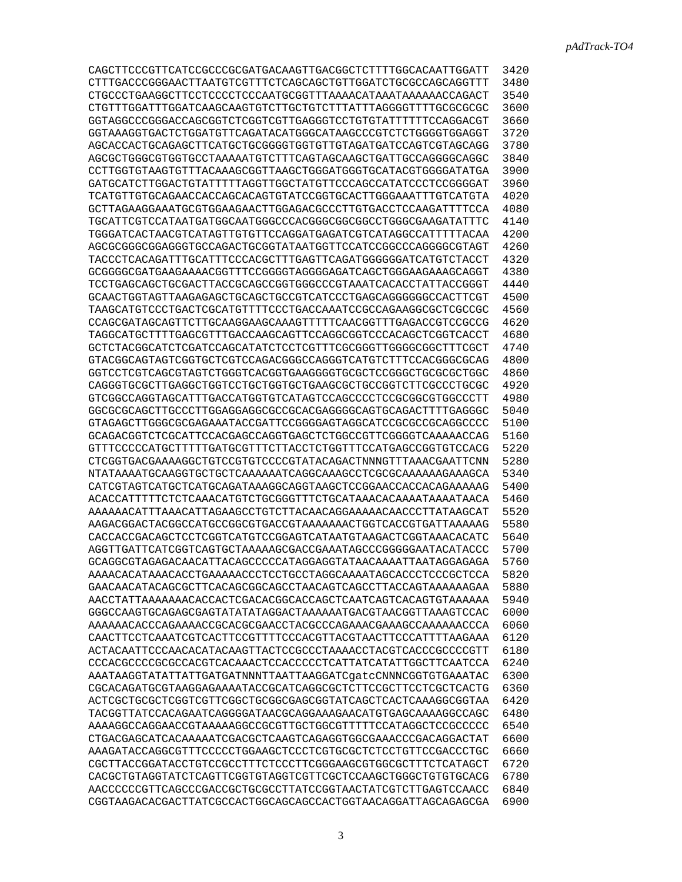| CAGCTTCCCGTTCATCCGCCCGCGATGACAAGTTGACGGCTCTTTTGGCACAATTGGATT | 3420 |
|--------------------------------------------------------------|------|
| CTTTGACCCGGGAACTTAATGTCGTTTCTCAGCAGCTGTTGGATCTGCGCCAGCAGGTTT | 3480 |
|                                                              | 3540 |
|                                                              | 3600 |
| GGTAGGCCCGGGACCAGCGGTCTCGGTCGTTGAGGGTCCTGTGTATTTTTTCCAGGACGT | 3660 |
| GGTAAAGGTGACTCTGGATGTTCAGATACATGGGCATAAGCCCGTCTCTGGGGTGGAGGT | 3720 |
| AGCACCACTGCAGAGCTTCATGCTGCGGGGTGGTGTTGTAGATGATCCAGTCGTAGCAGG | 3780 |
| AGCGCTGGCGTGGTGCCTAAAAATGTCTTTCAGTAGCAAGCTGATTGCCAGGGGCAGGC  | 3840 |
| CCTTGGTGTAAGTGTTTACAAAGCGGTTAAGCTGGGATGGGTGCATACGTGGGGATATGA | 3900 |
| GATGCATCTTGGACTGTATTTTTAGGTTGGCTATGTTCCCAGCCATATCCCTCCGGGGAT | 3960 |
| TCATGTTGTGCAGAACCACCAGCACAGTGTATCCGGTGCACTTGGGAAATTTGTCATGTA | 4020 |
| GCTTAGAAGGAAATGCGTGGAAGAACTTGGAGACGCCCTTGTGACCTCCAAGATTTTCCA | 4080 |
| TGCATTCGTCCATAATGATGGCAATGGGCCCACGGGCGGCGCCTGGGCGAAGATATTTC  | 4140 |
| TGGGATCACTAACGTCATAGTTGTGTTCCAGGATGAGATCGTCATAGGCCATTTTTACAA | 4200 |
| AGCGCGGGCGGAGGGTGCCAGACTGCGGTATAATGGTTCCATCCGGCCCAGGGGCGTAGT | 4260 |
| TACCCTCACAGATTTGCATTTCCCACGCTTTGAGTTCAGATGGGGGGATCATGTCTACCT | 4320 |
| GCGGGGCGATGAAGAAAACGGTTTCCGGGGTAGGGGAGATCAGCTGGGAAGAAAGCAGGT | 4380 |
|                                                              |      |
| TCCTGAGCAGCTGCGACTTACCGCAGCCGGTGGGCCCGTAAATCACACCTATTACCGGGT | 4440 |
| GCAACTGGTAGTTAAGAGAGCTGCAGCTGCCGTCATCCCTGAGCAGGGGGGCCACTTCGT | 4500 |
| TAAGCATGTCCCTGACTCGCATGTTTTCCCTGACCAAATCCGCCAGAAGGCGCTCGCCGC | 4560 |
| CCAGCGATAGCAGTTCTTGCAAGGAAGCAAAGTTTTTCAACGGTTTGAGACCGTCCGCCG | 4620 |
| TAGGCATGCTTTTGAGCGTTTGACCAAGCAGTTCCAGGCGGTCCCACAGCTCGGTCACCT | 4680 |
| GCTCTACGGCATCTCGATCCAGCATATCTCCTCGTTTCGCGGGTTGGGGCGGCTTTCGCT | 4740 |
| GTACGGCAGTAGTCGGTGCTCGTCCAGACGGGCCAGGGTCATGTCTTTCCACGGGCGCAG | 4800 |
| GGTCCTCGTCAGCGTAGTCTGGGTCACGGTGAAGGGGTGCGCTCCGGGCTGCGCGCTGGC | 4860 |
| CAGGGTGCGCTTGAGGCTGGTCCTGCTGGTGCTGAAGCGCTGCCGGTCTTCGCCCTGCGC | 4920 |
| GTCGGCCAGGTAGCATTTGACCATGGTGTCATAGTCCAGCCCCTCCGCGCGTGGCCCTT  | 4980 |
| GGCGCGCAGCTTGCCCTTGGAGGAGGCGCCGCACGAGGGCCAGTGCAGACTTTTGAGGGC | 5040 |
| GTAGAGCTTGGGCGCGAGAAATACCGATTCCGGGGAGTAGGCATCCGCGCCGCAGGCCCC | 5100 |
| GCAGACGGTCTCGCATTCCACGAGCCAGGTGAGCTCTGGCCGTTCGGGGTCAAAAACCAG | 5160 |
| GTTTCCCCCATGCTTTTTGATGCGTTTCTTACCTCTGGTTTCCATGAGCCGGTGTCCACG | 5220 |
| CTCGGTGACGAAAAGGCTGTCCGTGTCCCCGTATACAGACTNNNGTTTAAACGAATTCNN | 5280 |
|                                                              | 5340 |
| CATCGTAGTCATGCTCATGCAGATAAAGGCAGGTAAGCTCCGGAACCACCACAGAAAAAG | 5400 |
| ACACCATTTTTCTCAAACATGTCTGCGGGTTTCTGCATAAACACAAAATAAAATAACA   | 5460 |
| AAAAAACATTTAAACATTAGAAGCCTGTCTTACAACAGGAAAAACAACCCTTATAAGCAT | 5520 |
| AAGACGGACTACGGCCATGCCGGCGTGACCGTAAAAAACTGGTCACCGTGATTAAAAAG  | 5580 |
| CACCACCGACAGCTCCTCGGTCATGTCCGGAGTCATAATGTAAGACTCGGTAAACACATC | 5640 |
|                                                              | 5700 |
| GCAGGCGTAGAGACAACATTACAGCCCCCATAGGAGGTATAACAAAATTAATAGGAGAGA | 5760 |
| AAAACACATAAACACCTGAAAAACCCTCCTGCCTAGGCAAAATAGCACCCTCCCGCTCCA | 5820 |
| GAACAACATACAGCGCTTCACAGCGGCAGCCTAACAGTCAGCCTTACCAGTAAAAAAGAA | 5880 |
| AACCTATTAAAAAAACACCACTCGACACGGCACCAGCTCAATCAGTCACAGTGTAAAAAA | 5940 |
| GGGCCAAGTGCAGAGCGAGTATATATAGGACTAAAAAATGACGTAACGGTTAAAGTCCAC | 6000 |
| AAAAAACACCCAGAAAACCGCACGCGAACCTACGCCCAGAAACGAAAGCCAAAAAACCCA | 6060 |
| CAACTTCCTCAAATCGTCACTTCCGTTTTCCCACGTTACGTAACTTCCCATTTTAAGAAA | 6120 |
| ACTACAATTCCCAACACATACAAGTTACTCCGCCCTAAAACCTACGTCACCCGCCCCGTT | 6180 |
| CCCACGCCCCGCGCCACGTCACAAACTCCACCCCCTCATTATCATATTGGCTTCAATCCA | 6240 |
| AAATAAGGTATATTATTGATGATNNNTTAATTAAGGATCqatcCNNNCGGTGTGAAATAC | 6300 |
| CGCACAGATGCGTAAGGAGAAAATACCGCATCAGGCGCTCTTCCGCTTCCTCGCTCACTG | 6360 |
|                                                              | 6420 |
| TACGGTTATCCACAGAATCAGGGGATAACGCAGGAAAGAACATGTGAGCAAAAGGCCAGC | 6480 |
| AAAAGGCCAGGAACCGTAAAAAGGCCGCGTTGCTGGCGTTTTTCCATAGGCTCCGCCCCC | 6540 |
| CTGACGAGCATCACAAAAATCGACGCTCAAGTCAGAGGTGGCGAAACCCGACAGGACTAT | 6600 |
| AAAGATACCAGGCGTTTCCCCCTGGAAGCTCCCTCGTGCGCTCTCCTGTTCCGACCCTGC | 6660 |
| CGCTTACCGGATACCTGTCCGCCTTTCTCCCTTCGGGAAGCGTGGCGCTTTCTCATAGCT | 6720 |
| CACGCTGTAGGTATCTCAGTTCGGTGTAGGTCGTTCGCTCCAAGCTGGGCTGTGTGCACG | 6780 |
| AACCCCCCGTTCAGCCCGACCGCTGCGCCTTATCCGGTAACTATCGTCTTGAGTCCAACC | 6840 |
| CGGTAAGACACGACTTATCGCCACTGGCAGCAGCCACTGGTAACAGGATTAGCAGAGCGA | 6900 |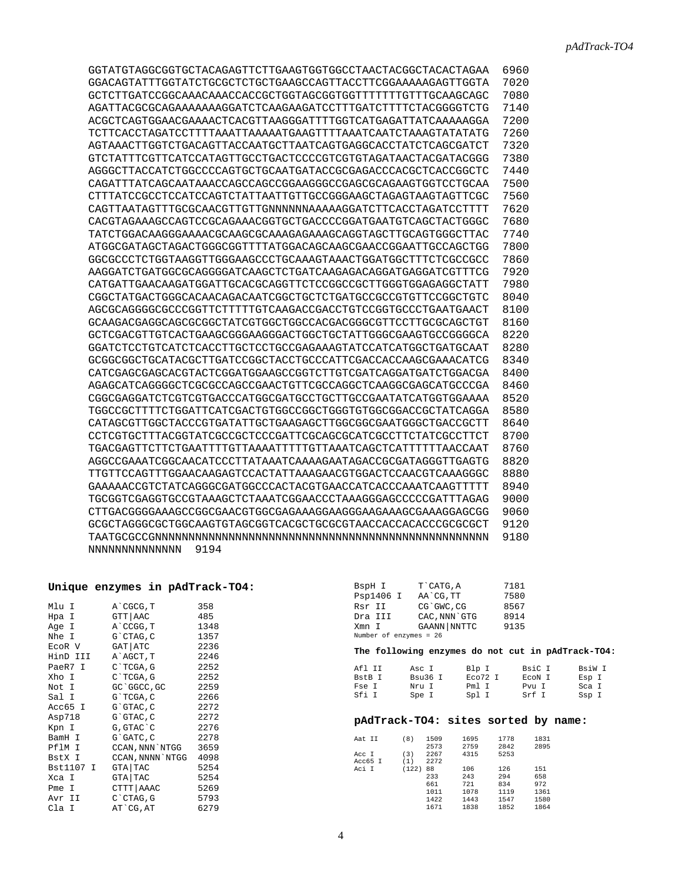| GGTATGTAGGCGGTGCTACAGAGTTCTTGAAGTGGTGGCCTAACTACGGCTACACTAGAA | 6960 |
|--------------------------------------------------------------|------|
| GGACAGTATTTGGTATCTGCGCTCTGCTGAAGCCAGTTACCTTCGGAAAAAGAGTTGGTA | 7020 |
|                                                              | 7080 |
| AGATTACGCGCAGAAAAAAAGGATCTCAAGAAGATCCTTTGATCTTTTCTACGGGGTCTG | 7140 |
| ACGCTCAGTGGAACGAAAACTCACGTTAAGGGATTTTGGTCATGAGATTATCAAAAAGGA | 7200 |
|                                                              | 7260 |
| AGTAAACTTGGTCTGACAGTTACCAATGCTTAATCAGTGAGGCACCTATCTCAGCGATCT | 7320 |
| GTCTATTTCGTTCATCCATAGTTGCCTGACTCCCCGTCGTGTAGATAACTACGATACGGG | 7380 |
| AGGGCTTACCATCTGGCCCCAGTGCTGCAATGATACCGCGAGACCCACGCTCACCGGCTC | 7440 |
| CAGATTTATCAGCAATAAACCAGCCAGCCGGAAGGGCCGAGCGCAGAAGTGGTCCTGCAA | 7500 |
|                                                              | 7560 |
| CAGTTAATAGTTTGCGCAACGTTGTTGNNNNNNAAAAAGGATCTTCACCTAGATCCTTTT | 7620 |
| CACGTAGAAAGCCAGTCCGCAGAAACGGTGCTGACCCCGGATGAATGTCAGCTACTGGGC | 7680 |
| TATCTGGACAAGGGAAAACGCAAGCGCAAAGAGAAAGCAGGTAGCTTGCAGTGGGCTTAC | 7740 |
| ATGGCGATAGCTAGACTGGGCGGTTTTATGGACAGCAAGCGAACCGGAATTGCCAGCTGG | 7800 |
| GGCGCCCTCTGGTAAGGTTGGGAAGCCCTGCAAAGTAAACTGGATGGCTTTCTCGCCGCC | 7860 |
| AAGGATCTGATGGCGCAGGGGATCAAGCTCTGATCAAGAGACAGGATGAGGATCGTTTCG | 7920 |
| CATGATTGAACAAGATGGATTGCACGCAGGTTCTCCGGCCGCTTGGGTGGAGAGGCTATT | 7980 |
| CGGCTATGACTGGGCACAACAGACAATCGGCTGCTCTGATGCCGCCGTGTTCCGGCTGTC | 8040 |
|                                                              | 8100 |
| GCAAGACGAGGCAGCGCGGCTATCGTGGCTGGCCACGACGGCGTTCCTTGCGCAGCTGT  | 8160 |
| GCTCGACGTTGTCACTGAAGCGGGAAGGGACTGGCTGCTATTGGGCGAAGTGCCGGGGCA | 8220 |
| GGATCTCCTGTCATCTCACCTTGCTCCTGCCGAGAAAGTATCCATCATGGCTGATGCAAT | 8280 |
| GCGGCGGCTGCATACGCTTGATCCGGCTACCTGCCCATTCGACCACCAAGCGAAACATCG | 8340 |
| CATCGAGCGAGCACGTACTCGGATGGAAGCCGGTCTTGTCGATCAGGATGATCTGGACGA | 8400 |
| AGAGCATCAGGGGCTCGCGCCAGCCGAACTGTTCGCCAGGCTCAAGGCGAGCATGCCCGA | 8460 |
| CGGCGAGGATCTCGTCGTGACCCATGGCGATGCCTGCTTGCCGAATATCATGGTGGAAAA | 8520 |
| TGGCCGCTTTTCTGGATTCATCGACTGTGGCCGGCTGGGTGTGGCGGACCGCTATCAGGA | 8580 |
| CATAGCGTTGGCTACCCGTGATATTGCTGAAGAGCTTGGCGGCGAATGGGCTGACCGCTT | 8640 |
| CCTCGTGCTTTACGGTATCGCCGCTCCCGATTCGCAGCGCATCGCCTTCTATCGCCTTCT | 8700 |
| TGACGAGTTCTTCTGAATTTTGTTAAAATTTTTGTTAAATCAGCTCATTTTTTAACCAAT | 8760 |
| AGGCCGAAATCGGCAACATCCCTTATAAATCAAAAGAATAGACCGCGATAGGGTTGAGTG | 8820 |
| TTGTTCCAGTTTGGAACAAGAGTCCACTATTAAAGAACGTGGACTCCAACGTCAAAGGGC | 8880 |
| GAAAAACCGTCTATCAGGGCGATGGCCCACTACGTGAACCATCACCCAAATCAAGTTTTT | 8940 |
| TGCGGTCGAGGTGCCGTAAAGCTCTAAATCGGAACCCTAAAGGGAGCCCCCGATTTAGAG | 9000 |
|                                                              | 9060 |
| GCGCTAGGGCGCTGCAAGTGTAGCGGTCACGCTGCGCGTAACCACCACACCCGCGCGCT  | 9120 |
|                                                              | 9180 |
| 9194<br>NNNNNNNNNNNNNN                                       |      |

| Unique enzymes in pAdTrack-TO4: |  |  |  |
|---------------------------------|--|--|--|
|---------------------------------|--|--|--|

| Mlu I     | A`CGCG,T         | 358  |
|-----------|------------------|------|
| Hpa I     | GTT AAC          | 485  |
| Age I     | A CCGG, T        | 1348 |
| Nhe I     | G`CTAG, C        | 1357 |
| ECOR V    | GAT   ATC        | 2236 |
| HinD III  | A`AGCT, T        | 2246 |
| PaeR7 I   | $C$ TCGA, G      | 2252 |
| Xho I     | C`TCGA, G        | 2252 |
| Not I     | GC 'GGCC, GC     | 2259 |
| Sal I     | G`TCGA, C        | 2266 |
| Acc65 I   | G`GTAC, C        | 2272 |
| Asp718    | G`GTAC, C        | 2272 |
| Kpn I     | G, GTAC`C        | 2276 |
| BamH I    | G`GATC, C        | 2278 |
| PflM I    | CCAN, NNN `NTGG  | 3659 |
| BstX I    | CCAN, NNNN `NTGG | 4098 |
| Bst1107 I | GTA TAC          | 5254 |
| Xca I     | GTA TAC          | 5254 |
| Pme I     | CTTT AAAC        | 5269 |
| Avr II    | $C$ $CTAG$ , $G$ | 5793 |
| Cla I     | AT`CG,AT         | 6279 |
|           |                  |      |

| BspH I                 | T CATG, A          | 7181 |
|------------------------|--------------------|------|
| Psp1406 I              | AA CG. TT          | 7580 |
| Rsr II                 | CG`GWC.CG          | 8567 |
| Dra III                | CAC, NNN GTG       | 8914 |
| Xmn I                  | <b>GAANN NNTTC</b> | 9135 |
| Number of enzymes = 26 |                    |      |
|                        |                    |      |

**The following enzymes do not cut in pAdTrack-TO4:** 

| Afl TT | Asc I   | Blp I   | BsiC I | BsiW I |
|--------|---------|---------|--------|--------|
| BstB I | Bsu36 T | ECO72 I | ECON I | Esp I  |
| Fse I  | Nru I   | Pm1 T   | Pvu T  | Sca I  |
| Sfi I  | Spe I   | Spl I   | Srf I  | Ssp I  |

## **pAdTrack-TO4: sites sorted by name:**

| Aat II  | (8)   | 1509 | 1695 | 1778 | 1831 |
|---------|-------|------|------|------|------|
|         |       | 2573 | 2759 | 2842 | 2895 |
| Acc I   | (3)   | 2267 | 4315 | 5253 |      |
| Acc65 I | (1)   | 2272 |      |      |      |
| Aci I   | (122) | 88   | 106  | 126  | 151  |
|         |       | 233  | 243  | 294  | 658  |
|         |       | 661  | 721  | 834  | 972  |
|         |       | 1011 | 1078 | 1119 | 1361 |
|         |       | 1422 | 1443 | 1547 | 1580 |
|         |       | 1671 | 1838 | 1852 | 1864 |
|         |       |      |      |      |      |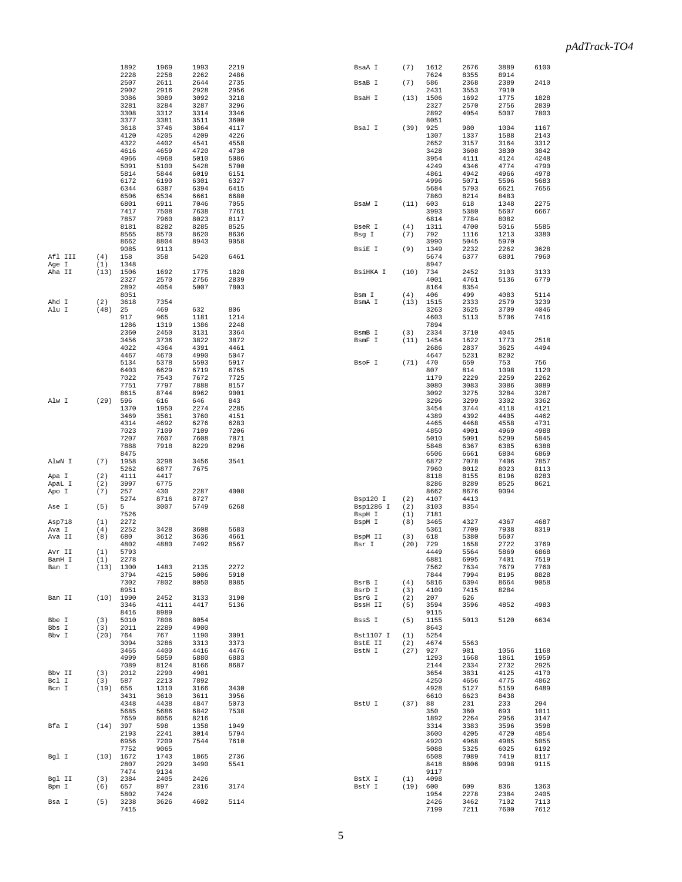|                 |             | 1892               | 1969         | 1993         | 2219         | BsaA I                | (7)        | 1612         | 2676         | 3889         | 6100         |
|-----------------|-------------|--------------------|--------------|--------------|--------------|-----------------------|------------|--------------|--------------|--------------|--------------|
|                 |             | 2228               | 2258         | 2262         | 2486         |                       |            | 7624         | 8355         | 8914         |              |
|                 |             | 2507<br>2902       | 2611<br>2916 | 2644<br>2928 | 2735<br>2956 | BsaB I                | (7)        | 586<br>2431  | 2368<br>3553 | 2389<br>7910 | 2410         |
|                 |             | 3086               | 3089         | 3092         | 3218         | BsaH I                | (13)       | 1506         | 1692         | 1775         | 1828         |
|                 |             | 3281               | 3284         | 3287         | 3296         |                       |            | 2327         | 2570         | 2756         | 2839         |
|                 |             | 3308               | 3312         | 3314         | 3346         |                       |            | 2892         | 4054         | 5007         | 7803         |
|                 |             | 3377               | 3381         | 3511         | 3600         |                       |            | 8051         |              |              |              |
|                 |             | 3618               | 3746         | 3864         | 4117         | BsaJ I                | (39)       | 925<br>1307  | 980          | 1004         | 1167         |
|                 |             | 4120<br>4322       | 4205<br>4402 | 4209<br>4541 | 4226<br>4558 |                       |            | 2652         | 1337<br>3157 | 1588<br>3164 | 2143<br>3312 |
|                 |             | 4616               | 4659         | 4720         | 4730         |                       |            | 3428         | 3608         | 3830         | 3842         |
|                 |             | 4966               | 4968         | 5010         | 5086         |                       |            | 3954         | 4111         | 4124         | 4248         |
|                 |             | 5091               | 5100         | 5428         | 5700         |                       |            | 4249         | 4346         | 4774         | 4790         |
|                 |             | 5814               | 5844         | 6019         | 6151         |                       |            | 4861         | 4942         | 4966         | 4978         |
|                 |             | 6172<br>6344       | 6190<br>6387 | 6301<br>6394 | 6327<br>6415 |                       |            | 4996<br>5684 | 5071<br>5793 | 5596<br>6621 | 5683<br>7656 |
|                 |             | 6506               | 6534         | 6661         | 6680         |                       |            | 7860         | 8214         | 8483         |              |
|                 |             | 6801               | 6911         | 7046         | 7055         | BsaW I                | (11)       | 603          | 618          | 1348         | 2275         |
|                 |             | 7417               | 7508         | 7638         | 7761         |                       |            | 3993         | 5380         | 5607         | 6667         |
|                 |             | 7857               | 7960         | 8023         | 8117         |                       |            | 6814         | 7784         | 8082         |              |
|                 |             | 8181<br>8565       | 8282<br>8570 | 8285<br>8620 | 8525<br>8636 | BseR I<br>Bsg I       | (4)<br>(7) | 1311<br>792  | 4700<br>1116 | 5016<br>1213 | 5585<br>3380 |
|                 |             | 8662               | 8804         | 8943         | 9058         |                       |            | 3990         | 5045         | 5970         |              |
|                 |             | 9085               | 9113         |              |              | BsiE I                | (9)        | 1349         | 2232         | 2262         | 3628         |
| Afl III         | (4)         | 158                | 358          | 5420         | 6461         |                       |            | 5674         | 6377         | 6801         | 7960         |
| Age I           | (1)         | 1348               |              |              |              |                       |            | 8947         |              |              |              |
| Aha II          | (13)        | 1506<br>2327       | 1692<br>2570 | 1775<br>2756 | 1828<br>2839 | BsiHKA I              | (10)       | 734<br>4001  | 2452<br>4761 | 3103<br>5136 | 3133<br>6779 |
|                 |             | 2892               | 4054         | 5007         | 7803         |                       |            | 8164         | 8354         |              |              |
|                 |             | 8051               |              |              |              | Bsm I                 | (4)        | 406          | 499          | 4083         | 5114         |
| Ahd I           | (2)         | 3618               | 7354         |              |              | BsmA I                | (13)       | 1515         | 2333         | 2579         | 3239         |
| Alu I           | (48)        | 25                 | 469          | 632          | 806          |                       |            | 3263         | 3625         | 3709         | 4046         |
|                 |             | 917<br>1286        | 965<br>1319  | 1181<br>1386 | 1214<br>2248 |                       |            | 4603<br>7894 | 5113         | 5706         | 7416         |
|                 |             | 2360               | 2450         | 3131         | 3364         | BsmB I                | (3)        | 2334         | 3710         | 4045         |              |
|                 |             | 3456               | 3736         | 3822         | 3872         | BsmF I                | (11)       | 1454         | 1622         | 1773         | 2518         |
|                 |             | 4022               | 4364         | 4391         | 4461         |                       |            | 2686         | 2837         | 3625         | 4494         |
|                 |             | 4467               | 4670         | 4990         | 5047         |                       |            | 4647         | 5231         | 8202         |              |
|                 |             | 5134<br>6403       | 5378<br>6629 | 5593<br>6719 | 5917<br>6765 | BsoF I                | (71)       | 470<br>807   | 659<br>814   | 753<br>1098  | 756<br>1120  |
|                 |             | 7022               | 7543         | 7672         | 7725         |                       |            | 1179         | 2229         | 2259         | 2262         |
|                 |             | 7751               | 7797         | 7888         | 8157         |                       |            | 3080         | 3083         | 3086         | 3089         |
|                 |             | 8615               | 8744         | 8962         | 9001         |                       |            | 3092         | 3275         | 3284         | 3287         |
| Alw I           | (29)        | 596                | 616          | 646          | 843          |                       |            | 3296         | 3299         | 3302         | 3362         |
|                 |             | 1370<br>3469       | 1950<br>3561 | 2274<br>3760 | 2285<br>4151 |                       |            | 3454<br>4389 | 3744<br>4392 | 4118<br>4405 | 4121<br>4462 |
|                 |             | 4314               | 4692         | 6276         | 6283         |                       |            | 4465         | 4468         | 4558         | 4731         |
|                 |             | 7023               | 7109         | 7109         | 7206         |                       |            | 4850         | 4901         | 4969         | 4988         |
|                 |             | 7207               | 7607         | 7608         | 7871         |                       |            | 5010         | 5091         | 5299         | 5845         |
|                 |             | 7888               | 7918         | 8229         | 8296         |                       |            | 5848         | 6367         | 6385         | 6388         |
| AlwN I          | (7)         | 8475<br>1958       | 3298         | 3456         | 3541         |                       |            | 6506<br>6872 | 6661<br>7078 | 6804<br>7406 | 6869<br>7857 |
|                 |             | 5262               | 6877         | 7675         |              |                       |            | 7960         | 8012         | 8023         | 8113         |
| Apa I           | (2)         | 4111               | 4417         |              |              |                       |            | 8118         | 8155         | 8196         | 8283         |
| ApaL I          | (2)         | 3997               | 6775         |              |              |                       |            | 8286         | 8289         | 8525         | 8621         |
| Apo I           | (7)         | 257                | 430          | 2287         | 4008         |                       |            | 8662         | 8676         | 9094         |              |
| Ase I           | (5)         | 5274<br>5          | 8716<br>3007 | 8727<br>5749 | 6268         | Bsp120 I<br>Bsp1286 I | (2)<br>(2) | 4107<br>3103 | 4413<br>8354 |              |              |
|                 |             | 7526               |              |              |              | BspH I                | (1)        | 7181         |              |              |              |
| Asp718          | (1)         | 2272               |              |              |              | BspM I                | (8)        | 3465         | 4327         | 4367         | 4687         |
| Ava I           | (4)         | 2252               | 3428         | 3608         | 5683         |                       |            | 5361         | 7709         | 7938         | 8319         |
| Ava II          | (8)         | 680                | 3612         | 3636         | 4661         | BspM II               | (3)        | 618          | 5380         | 5607         |              |
| Avr II          | (1)         | 4802<br>5793       | 4880         | 7492         | 8567         | Bsr I                 | (20)       | 729<br>4449  | 1658<br>5564 | 2722<br>5869 | 3769<br>6868 |
| BamH I          | (1)         | 2278               |              |              |              |                       |            | 6881         | 6995         | 7401         | 7519         |
| Ban I           |             | $(13)$ 1300        | 1483         | 2135         | 2272         |                       |            | 7562         | 7634         | 7679         | 7760         |
|                 |             | 3794               | 4215         | 5006         | 5910         |                       |            | 7844         | 7994         | 8195         | 8828         |
|                 |             | 7302<br>8951       | 7802         | 8050         | 8085         | BsrB I<br>BsrD I      | (4)        | 5816<br>4109 | 6394<br>7415 | 8664<br>8284 | 9058         |
| Ban II          |             | $(10)$ 1990        | 2452         | 3133         | 3190         | BsrG I                | (3)<br>(2) | 207          | 626          |              |              |
|                 |             | 3346               | 4111         | 4417         | 5136         | <b>BssH II</b>        | (5)        | 3594         | 3596         | 4852         | 4983         |
|                 |             | 8416               | 8989         |              |              |                       |            | 9115         |              |              |              |
| Bbe I           | (3)         | 5010               | 7806         | 8054         |              | BssS I                | (5)        | 1155         | 5013         | 5120         | 6634         |
| Bbs I<br>Bbv I  | (3)<br>(20) | 2011               | 2289<br>767  | 4900         | 3091         | Bst1107 I             | (1)        | 8643<br>5254 |              |              |              |
|                 |             | 764<br>3094        | 3286         | 1190<br>3313 | 3373         | BstE II               | (2)        | 4674         | 5563         |              |              |
|                 |             | 3465               | 4400         | 4416         | 4476         | BstN I                | (27)       | 927          | 981          | 1056         | 1168         |
|                 |             | 4999               | 5859         | 6880         | 6883         |                       |            | 1293         | 1668         | 1861         | 1959         |
|                 |             | 7089               | 8124         | 8166         | 8687         |                       |            | 2144         | 2334         | 2732         | 2925         |
| Bbv II<br>Bcl I | (3)         | 2012<br>587        | 2290<br>2213 | 4901<br>7892 |              |                       |            | 3654<br>4250 | 3831<br>4656 | 4125<br>4775 | 4170<br>4862 |
| Bcn I           | (3)<br>(19) | 656                | 1310         | 3166         | 3430         |                       |            | 4928         | 5127         | 5159         | 6489         |
|                 |             | 3431               | 3610         | 3611         | 3956         |                       |            | 6610         | 6623         | 8438         |              |
|                 |             | 4348               | 4438         | 4847         | 5073         | BstU I                | (37)       | 88           | 231          | 233          | 294          |
|                 |             | 5685               | 5686         | 6842         | 7538         |                       |            | 350          | 360          | 693          | 1011         |
| Bfa I           |             | 7659<br>$(14)$ 397 | 8056<br>598  | 8216<br>1358 | 1949         |                       |            | 1892<br>3314 | 2264<br>3383 | 2956<br>3596 | 3147<br>3598 |
|                 |             | 2193               | 2241         | 3014         | 5794         |                       |            | 3600         | 4205         | 4720         | 4854         |
|                 |             | 6956               | 7209         | 7544         | 7610         |                       |            | 4920         | 4968         | 4985         | 5055         |
|                 |             | 7752               | 9065         |              |              |                       |            | 5088         | 5325         | 6025         | 6192         |
| Bgl I           | (10)        | 1672               | 1743         | 1865         | 2736         |                       |            | 6508         | 7089         | 7419         | 8117         |
|                 |             | 2807<br>7474       | 2929<br>9134 | 3490         | 5541         |                       |            | 8418<br>9117 | 8806         | 9098         | 9115         |
| Bgl II          | (3)         | 2384               | 2405         | 2426         |              | BstX I                | (1)        | 4098         |              |              |              |
| Bpm I           | (6)         | 657                | 897          | 2316         | 3174         | BstY I                |            | (19) 600     | 609          | 836          | 1363         |
|                 |             | 5802               | 7424         |              |              |                       |            | 1954         | 2278         | 2384         | 2405         |
| Bsa I           | (5)         | 3238<br>7415       | 3626         | 4602         | 5114         |                       |            | 2426<br>7199 | 3462<br>7211 | 7102<br>7600 | 7113<br>7612 |
|                 |             |                    |              |              |              |                       |            |              |              |              |              |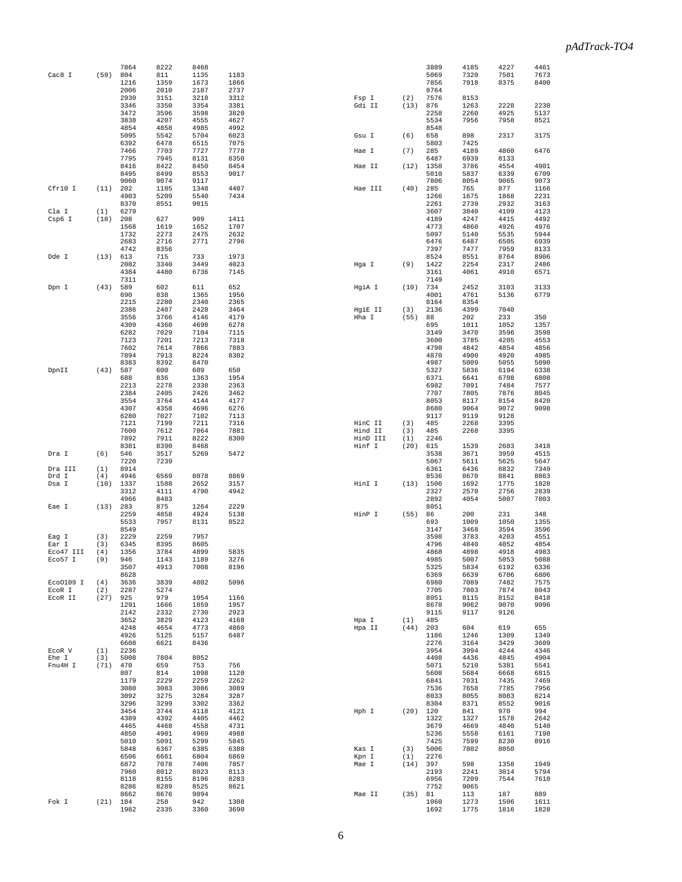|           |      | 7864         | 8222         | 8468         |              |          |         | 3889        | 4185        | 4227        | 4461         |
|-----------|------|--------------|--------------|--------------|--------------|----------|---------|-------------|-------------|-------------|--------------|
| Cac8 I    | (59) | 804          | 811          | 1135         | 1183         |          |         | 5069        | 7320        | 7501        | 7673         |
|           |      | 1216         | 1359         | 1673         | 1866         |          |         | 7856        | 7918        | 8375        | 8400         |
|           |      | 2006         | 2010         | 2187         | 2737         |          |         | 8764        |             |             |              |
|           |      | 2930         | 3151         | 3218         | 3312         | Fsp I    | (2)     | 7576        | 8153        |             |              |
|           |      | 3346         | 3350         | 3354         | 3381         | Gdi II   | (13)    | 876         | 1263        | 2228        | 2230         |
|           |      | 3472         | 3596         | 3598         | 3820         |          |         | 2258        | 2260        | 4925        | 5137         |
|           |      | 3838         | 4207         | 4555         | 4627         |          |         | 5534        | 7956        | 7958        | 8521         |
|           |      | 4854         | 4858         | 4985         | 4992         |          |         | 8548        |             |             |              |
|           |      | 5095         | 5542         | 5704         | 6023         | Gsu I    | (6)     | 658         | 898         | 2317        | 3175         |
|           |      | 6392         | 6478         | 6515         | 7075         |          |         | 5803        | 7425        |             |              |
|           |      | 7466         | 7703         | 7727         | 7778         | Hae I    | (7)     | 285         | 4189        | 4860        | 6476         |
|           |      | 7795         | 7945         | 8131         | 8350         |          |         | 6487        | 6939        | 8133        |              |
|           |      | 8416         | 8422         | 8450         | 8454         | Hae II   | (12)    | 1358        | 3786        | 4554        | 4901         |
|           |      | 8495         | 8499         | 8553         | 9017         |          |         | 5010        | 5837        | 6339        | 6709         |
|           |      | 9060         | 9074         | 9117         |              |          |         | 7806        | 8054        | 9065        | 9073         |
| Cfr10 I   | (11) | 202          | 1185         | 1348         | 4407         | Hae III  | (40)    | 285         | 765         | 877         | 1166         |
|           |      | 4903         | 5209         | 5540         | 7434         |          |         | 1266        | 1675        | 1868        | 2231         |
|           |      | 8370         | 8551         | 9015         |              |          |         | 2261        | 2739        | 2932        | 3163         |
| Cla I     | (1)  | 6279         |              |              |              |          |         | 3607        | 3840        | 4109        | 4123         |
| Csp6 I    | (18) | 208          | 627          | 909          | 1411         |          |         | 4189        | 4247        | 4415        | 4492         |
|           |      | 1568         | 1619         | 1652         | 1707         |          |         | 4773        | 4860        | 4926        | 4976         |
|           |      | 1732         | 2273         | 2475         | 2632         |          |         | 5097        | 5140        | 5535        | 5944         |
|           |      | 2683         | 2716         | 2771         | 2796         |          |         | 6476        | 6487        | 6505        | 6939         |
|           |      | 4742         | 8356         |              |              |          |         | 7397        | 7477        | 7959        | 8133         |
| Dde I     | (13) | 613          | 715          | 733          | 1973         |          |         | 8524        | 8551        | 8764        | 8906         |
|           |      | 2082         | 3340         | 3449         | 4023         | Hga I    | (9)     | 1422        | 2254        | 2317        | 2486         |
|           |      | 4384         | 4480         | 6736         | 7145         |          |         | 3161        | 4061        | 4910        | 6571         |
|           |      | 7311         |              |              |              |          |         | 7149        |             |             |              |
| Dpn I     | (43) | 589          | 602          | 611          | 652          | HgiA I   | (10)    | 734         | 2452        | 3103        | 3133         |
|           |      | 690          | 838          | 1365         | 1956         |          |         | 4001        | 4761        | 5136        | 6779         |
|           |      | 2215         | 2280         | 2340         | 2365         |          |         | 8164        | 8354        |             |              |
|           |      | 2386         | 2407         | 2428         | 3464         | HgiE II  | (3)     | 2136        | 4399        | 7040        |              |
|           |      | 3556         | 3766         | 4146         | 4179         | Hha I    | (55)    | 88          | 202         | 233         | 350          |
|           |      | 4309         | 4360         | 4698         | 6278         |          |         | 695         | 1011        | 1052        | 1357         |
|           |      | 6282         | 7029         | 7104         | 7115         |          |         | 3149        | 3470        | 3596        | 3598         |
|           |      | 7123         | 7201         | 7213         | 7318         |          |         | 3600        | 3785        | 4205        | 4553         |
|           |      | 7602         | 7614         | 7866         | 7883         |          |         | 4798        | 4842        | 4854        | 4856         |
|           |      | 7894         | 7913         | 8224         | 8302         |          |         | 4870        | 4900        | 4920        | 4985         |
|           |      | 8383         | 8392         | 8470         |              |          |         | 4987        | 5009        | 5055        | 5090         |
| DpnII     | (43) | 587          | 600          | 609          | 650          |          |         | 5327        | 5836        | 6194        | 6338         |
|           |      | 688          | 836          | 1363         | 1954         |          |         | 6371        | 6641        | 6708        | 6808         |
|           |      | 2213         | 2278         | 2338         | 2363         |          |         | 6982        | 7091        | 7484        | 7577         |
|           |      | 2384         | 2405         | 2426         | 3462         |          |         | 7707        | 7805        | 7876        | 8045         |
|           |      | 3554         | 3764         | 4144         | 4177         |          |         | 8053        | 8117        | 8154        | 8420         |
|           |      | 4307         | 4358         | 4696         | 6276         |          |         | 8680        | 9064        | 9072        | 9098         |
|           |      | 6280         | 7027         | 7102         | 7113         |          |         | 9117        | 9119        | 9128        |              |
|           |      | 7121         | 7199         | 7211         | 7316         | HinC II  | (3)     | 485         | 2268        | 3395        |              |
|           |      | 7600         | 7612         | 7864         | 7881         | Hind II  | (3)     | 485         | 2268        | 3395        |              |
|           |      | 7892         | 7911         | 8222         | 8300         | HinD III | (1)     | 2246        |             |             |              |
|           |      | 8381         | 8390         | 8468         |              | Hinf I   | (20)    | 615         | 1539        | 2603        | 3418         |
| Dra I     | (6)  | 546          | 3517         | 5269         | 5472         |          |         | 3538        | 3671        | 3959        | 4515         |
|           |      | 7220         | 7239         |              |              |          |         | 5067        | 5611        | 5625        | 5647         |
| Dra III   | (1)  | 8914         |              |              |              |          |         | 6361        | 6436        | 6832        | 7349         |
| Drd I     | (4)  | 4946         | 6569         | 8078         | 8869         |          |         | 8536        | 8670        | 8841        | 8863         |
| Dsa I     | (10) | 1337         | 1588         | 2652         | 3157         | HinI I   | (13)    | 1506        | 1692        | 1775        | 1828         |
|           |      | 3312         | 4111         | 4790         | 4942         |          |         | 2327        | 2570        | 2756        | 2839         |
|           |      | 4966         | 8483         |              |              |          |         | 2892        | 4054        | 5007        | 7803         |
| Eae I     | (13) | 283          | 875          | 1264         | 2229         |          |         | 8051        |             |             |              |
|           |      | 2259         | 4858         | 4924         | 5138         | HinP I   | (55)    | 86          | 200         | 231         | 348          |
|           |      | 5533         | 7957         | 8131         | 8522         |          |         | 693         | 1009        | 1050        | 1355         |
|           |      | 8549         |              |              |              |          |         | 3147        | 3468        | 3594        | 3596         |
| Eag I     | (3)  | 2229         | 2259         | 7957         |              |          |         | 3598        | 3783        | 4203        | 4551         |
| Ear I     | (3)  | 6345         | 8395         | 8605         |              |          |         | 4796        | 4840        | 4852        | 4854         |
| Eco47 III | (4)  | 1356         | 3784         | 4899         | 5835         |          |         | 4868        | 4898        | 4918        | 4983         |
| Eco57 I   | (9)  | 946          | 1143         | 1189         | 3276         |          |         | 4985        | 5007        | 5053        | 5088         |
|           |      | 3507         | 4913         | 7008         | 8196         |          |         | 5325        | 5834        | 6192        | 6336         |
|           |      | 8628         |              |              |              |          |         | 6369        | 6639        | 6706        | 6806         |
| Eco0109 I | (4)  | 3636         | 3839         | 4802         | 5096         |          |         | 6980        | 7089        | 7482        | 7575<br>8043 |
| ECOR I    | (2)  | 2287         | 5274         |              |              |          |         | 7705        | 7803        | 7874        |              |
| ECOR II   | (27) | 925          | 979          | 1054         | 1166         |          |         | 8051        | 8115        | 8152        | 8418         |
|           |      | 1291         | 1666         | 1859         | 1957         |          |         | 8678        | 9062        | 9070        | 9096         |
|           |      | 2142         | 2332         | 2730         | 2923         | Hpa I    |         | 9115        | 9117        | 9126        |              |
|           |      | 3652         | 3829<br>4654 | 4123         | 4168<br>4860 |          | (1)     | 485         | 604         | 619         | 655          |
|           |      | 4248<br>4926 | 5125         | 4773<br>5157 | 6487         | Hpa II   | (44)    | 203<br>1186 | 1246        | 1309        | 1349         |
|           |      | 6608         | 6621         | 8436         |              |          |         | 2276        | 3164        | 3429        | 3609         |
| ECOR V    | (1)  | 2236         |              |              |              |          |         | 3954        | 3994        | 4244        | 4346         |
| Ehe I     | (3)  | 5008         | 7804         | 8052         |              |          |         | 4408        | 4436        | 4845        | 4904         |
| Fnu4H I   | (71) | 470          | 659          | 753          | 756          |          |         | 5071        | 5210        | 5381        | 5541         |
|           |      | 807          | 814          | 1098         | 1120         |          |         | 5608        | 5684        | 6668        | 6815         |
|           |      | 1179         | 2229         | 2259         | 2262         |          |         | 6841        | 7031        | 7435        | 7469         |
|           |      | 3080         | 3083         | 3086         | 3089         |          |         | 7536        | 7658        | 7785        | 7956         |
|           |      | 3092         | 3275         | 3284         | 3287         |          |         | 8033        | 8055        | 8083        | 8214         |
|           |      | 3296         | 3299         | 3302         | 3362         |          |         | 8304        | 8371        | 8552        | 9016         |
|           |      | 3454         | 3744         | 4118         | 4121         | Hph I    | (20)    | 120         | 841         | 970         | 994          |
|           |      | 4389         | 4392         | 4405         | 4462         |          |         | 1322        | 1327        | 1578        | 2642         |
|           |      | 4465         | 4468         | 4558         | 4731         |          |         | 3679        | 4669        | 4840        | 5140         |
|           |      | 4850         | 4901         | 4969         | 4988         |          |         | 5236        | 5558        | 6161        | 7198         |
|           |      | 5010         | 5091         | 5299         | 5845         |          |         | 7425        | 7599        | 8230        | 8916         |
|           |      | 5848         | 6367         | 6385         | 6388         | Kas I    | (3)     | 5006        | 7802        | 8050        |              |
|           |      | 6506         | 6661         | 6804         | 6869         | Kpn I    | (1)     | 2276        |             |             |              |
|           |      | 6872         | 7078         | 7406         | 7857         | Mae I    | (14)    | 397         | 598         | 1358        | 1949         |
|           |      | 7960         | 8012         | 8023         | 8113         |          |         | 2193        | 2241        | 3014        | 5794         |
|           |      | 8118         | 8155         | 8196         | 8283         |          |         | 6956        | 7209        | 7544        | 7610         |
|           |      | 8286         | 8289         | 8525         | 8621         |          |         | 7752        | 9065        |             |              |
|           |      |              |              |              |              |          |         |             |             |             |              |
|           |      |              |              |              |              |          |         |             |             |             |              |
| Fok I     | (21) | 8662<br>184  | 8676<br>258  | 9094<br>942  | 1308         | Mae II   | (35) 81 | 1060        | 113<br>1273 | 187<br>1506 | 889<br>1611  |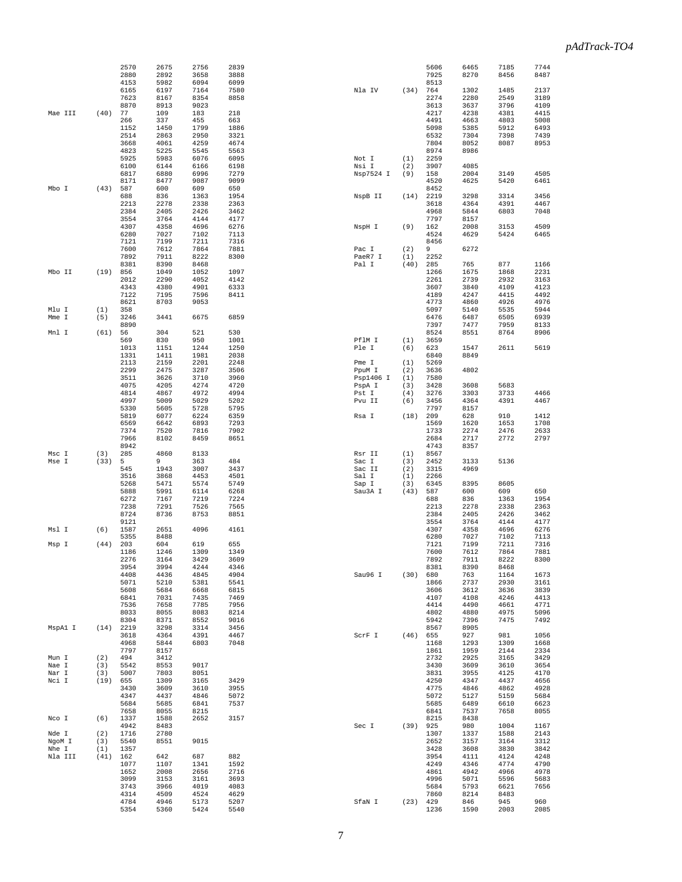|                  |             | 2570         | 2675         | 2756         | 2839         |                |            | 5606         | 6465         | 7185         | 7744         |
|------------------|-------------|--------------|--------------|--------------|--------------|----------------|------------|--------------|--------------|--------------|--------------|
|                  |             | 2880         | 2892         | 3658         | 3888         |                |            | 7925         | 8270         | 8456         | 8487         |
|                  |             | 4153         | 5982         | 6094         | 6099         |                |            | 8513         |              |              |              |
|                  |             | 6165<br>7623 | 6197<br>8167 | 7164<br>8354 | 7580<br>8858 | Nla IV         | (34)       | 764<br>2274  | 1302<br>2280 | 1485<br>2549 | 2137<br>3189 |
|                  |             | 8870         | 8913         | 9023         |              |                |            | 3613         | 3637         | 3796         | 4109         |
| Mae III          | (40)        | 77           | 109          | 183          | 218          |                |            | 4217         | 4238         | 4381         | 4415         |
|                  |             | 266          | 337          | 455          | 663          |                |            | 4491         | 4663         | 4803         | 5008         |
|                  |             | 1152         | 1450         | 1799         | 1886         |                |            | 5098         | 5385         | 5912         | 6493         |
|                  |             | 2514         | 2863         | 2950         | 3321         |                |            | 6532         | 7304         | 7398         | 7439         |
|                  |             | 3668         | 4061         | 4259         | 4674         |                |            | 7804         | 8052         | 8087         | 8953         |
|                  |             | 4823<br>5925 | 5225<br>5983 | 5545<br>6076 | 5563<br>6095 | Not I          | (1)        | 8974<br>2259 | 8986         |              |              |
|                  |             | 6100         | 6144         | 6166         | 6198         | Nsi I          | (2)        | 3907         | 4085         |              |              |
|                  |             | 6817         | 6880         | 6996         | 7279         | Nsp7524 I      | (9)        | 158          | 2004         | 3149         | 4505         |
|                  |             | 8171         | 8477         | 9087         | 9099         |                |            | 4520         | 4625         | 5420         | 6461         |
| Mbo I            | (43)        | 587          | 600          | 609          | 650          |                |            | 8452         |              |              |              |
|                  |             | 688          | 836          | 1363         | 1954         | NspB II        | (14)       | 2219         | 3298         | 3314         | 3456         |
|                  |             | 2213         | 2278         | 2338         | 2363         |                |            | 3618         | 4364         | 4391         | 4467         |
|                  |             | 2384<br>3554 | 2405<br>3764 | 2426         | 3462<br>4177 |                |            | 4968<br>7797 | 5844<br>8157 | 6803         | 7048         |
|                  |             | 4307         | 4358         | 4144<br>4696 | 6276         | NspH I         | (9)        | 162          | 2008         | 3153         | 4509         |
|                  |             | 6280         | 7027         | 7102         | 7113         |                |            | 4524         | 4629         | 5424         | 6465         |
|                  |             | 7121         | 7199         | 7211         | 7316         |                |            | 8456         |              |              |              |
|                  |             | 7600         | 7612         | 7864         | 7881         | Pac I          | (2)        | 9            | 6272         |              |              |
|                  |             | 7892         | 7911         | 8222         | 8300         | PaeR7 I        | (1)        | 2252         |              |              |              |
|                  |             | 8381         | 8390         | 8468         |              | Pal I          | (40)       | 285          | 765          | 877          | 1166         |
| Mbo II           | (19)        | 856<br>2012  | 1049<br>2290 | 1052<br>4052 | 1097<br>4142 |                |            | 1266<br>2261 | 1675<br>2739 | 1868<br>2932 | 2231<br>3163 |
|                  |             | 4343         | 4380         | 4901         | 6333         |                |            | 3607         | 3840         | 4109         | 4123         |
|                  |             | 7122         | 7195         | 7596         | 8411         |                |            | 4189         | 4247         | 4415         | 4492         |
|                  |             | 8621         | 8703         | 9053         |              |                |            | 4773         | 4860         | 4926         | 4976         |
| Mlu I            | (1)         | 358          |              |              |              |                |            | 5097         | 5140         | 5535         | 5944         |
| Mme I            | (5)         | 3246         | 3441         | 6675         | 6859         |                |            | 6476         | 6487         | 6505         | 6939         |
|                  |             | 8890         |              |              |              |                |            | 7397         | 7477         | 7959         | 8133         |
| Mnl I            | (61)        | 56<br>569    | 304<br>830   | 521<br>950   | 530<br>1001  | PflM I         |            | 8524         | 8551         | 8764         | 8906         |
|                  |             | 1013         | 1151         | 1244         | 1250         | Ple I          | (1)<br>(6) | 3659<br>623  | 1547         | 2611         | 5619         |
|                  |             | 1331         | 1411         | 1981         | 2038         |                |            | 6840         | 8849         |              |              |
|                  |             | 2113         | 2159         | 2201         | 2248         | Pme I          | (1)        | 5269         |              |              |              |
|                  |             | 2299         | 2475         | 3287         | 3506         | PpuM I         | (2)        | 3636         | 4802         |              |              |
|                  |             | 3511         | 3626         | 3710         | 3960         | Psp1406 I      | (1)        | 7580         |              |              |              |
|                  |             | 4075         | 4205         | 4274         | 4720         | PspA I         | (3)        | 3428         | 3608         | 5683         |              |
|                  |             | 4814         | 4867         | 4972         | 4994         | Pst I          | (4)        | 3276         | 3303         | 3733         | 4466         |
|                  |             | 4997<br>5330 | 5009<br>5605 | 5029<br>5728 | 5202<br>5795 | Pvu II         | (6)        | 3456<br>7797 | 4364<br>8157 | 4391         | 4467         |
|                  |             | 5819         | 6077         | 6224         | 6359         | Rsa I          | (18)       | 209          | 628          | 910          | 1412         |
|                  |             | 6569         | 6642         | 6893         | 7293         |                |            | 1569         | 1620         | 1653         | 1708         |
|                  |             |              |              |              |              |                |            |              |              |              |              |
|                  |             | 7374         | 7520         | 7816         | 7902         |                |            | 1733         | 2274         | 2476         | 2633         |
|                  |             | 7966         | 8102         | 8459         | 8651         |                |            | 2684         | 2717         | 2772         | 2797         |
|                  |             | 8942         |              |              |              |                |            | 4743         | 8357         |              |              |
| Msc I            | (3)         | 285          | 4860         | 8133         |              | Rsr II         | (1)        | 8567         |              |              |              |
| Mse I            | (33)        | 5            | 9            | 363          | 484          | Sac I          | (3)        | 2452         | 3133         | 5136         |              |
|                  |             | 545          | 1943         | 3007         | 3437         | Sac II         | (2)        | 3315         | 4969         |              |              |
|                  |             | 3516<br>5268 | 3868<br>5471 | 4453<br>5574 | 4501<br>5749 | Sal I<br>Sap I | (1)<br>(3) | 2266<br>6345 | 8395         | 8605         |              |
|                  |             | 5888         | 5991         | 6114         | 6268         | Sau3A I        | (43)       | 587          | 600          | 609          | 650          |
|                  |             | 6272         | 7167         | 7219         | 7224         |                |            | 688          | 836          | 1363         | 1954         |
|                  |             | 7238         | 7291         | 7526         | 7565         |                |            | 2213         | 2278         | 2338         | 2363         |
|                  |             | 8724         | 8736         | 8753         | 8851         |                |            | 2384         | 2405         | 2426         | 3462         |
|                  |             | 9121         |              |              |              |                |            | 3554         | 3764         | 4144         | 4177         |
| Msl I            | (6)         | 1587<br>5355 | 2651<br>8488 | 4096         | 4161         |                |            | 4307<br>6280 | 4358<br>7027 | 4696<br>7102 | 6276<br>7113 |
| Msp I            | (44)        | 203          | 604          | 619          | 655          |                |            | 7121         | 7199         | 7211         | 7316         |
|                  |             | 1186         | 1246         | 1309         | 1349         |                |            | 7600         | 7612         | 7864         | 7881         |
|                  |             | 2276         | 3164         | 3429         | 3609         |                |            | 7892         | 7911         | 8222         | 8300         |
|                  |             | 3954         | 3994         | 4244         | 4346         |                |            | 8381         | 8390         | 8468         |              |
|                  |             | 4408         | 4436         | 4845         | 4904         | Sau96 I        | (30)       | 680          | 763          | 1164         | 1673         |
|                  |             | 5071<br>5608 | 5210<br>5684 | 5381<br>6668 | 5541<br>6815 |                |            | 1866<br>3606 | 2737<br>3612 | 2930<br>3636 | 3161<br>3839 |
|                  |             | 6841         | 7031         | 7435         | 7469         |                |            | 4107         | 4108         | 4246         | 4413         |
|                  |             | 7536         | 7658         | 7785         | 7956         |                |            | 4414         | 4490         | 4661         | 4771         |
|                  |             | 8033         | 8055         | 8083         | 8214         |                |            | 4802         | 4880         | 4975         | 5096         |
|                  |             | 8304         | 8371         | 8552         | 9016         |                |            | 5942         | 7396         | 7475         | 7492         |
| MspA1 I          | (14)        | 2219         | 3298         | 3314         | 3456         |                |            | 8567         | 8905         |              |              |
|                  |             | 3618         | 4364         | 4391         | 4467         | ScrF I         | (46)       | 655          | 927          | 981          | 1056         |
|                  |             | 4968<br>7797 | 5844<br>8157 | 6803         | 7048         |                |            | 1168<br>1861 | 1293<br>1959 | 1309<br>2144 | 1668<br>2334 |
| Mun I            | (2)         | 494          | 3412         |              |              |                |            | 2732         | 2925         | 3165         | 3429         |
| Nae I            | (3)         | 5542         | 8553         | 9017         |              |                |            | 3430         | 3609         | 3610         | 3654         |
| Nar I            | (3)         | 5007         | 7803         | 8051         |              |                |            | 3831         | 3955         | 4125         | 4170         |
| Nci I            | (19)        | 655          | 1309         | 3165         | 3429         |                |            | 4250         | 4347         | 4437         | 4656         |
|                  |             | 3430         | 3609         | 3610         | 3955         |                |            | 4775         | 4846         | 4862         | 4928         |
|                  |             | 4347<br>5684 | 4437<br>5685 | 4846<br>6841 | 5072<br>7537 |                |            | 5072<br>5685 | 5127<br>6489 | 5159<br>6610 | 5684<br>6623 |
|                  |             | 7658         | 8055         | 8215         |              |                |            | 6841         | 7537         | 7658         | 8055         |
| Nco I            | (6)         | 1337         | 1588         | 2652         | 3157         |                |            | 8215         | 8438         |              |              |
|                  |             | 4942         | 8483         |              |              | Sec I          | (39)       | 925          | 980          | 1004         | 1167         |
| Nde I            | (2)         | 1716         | 2780         |              |              |                |            | 1307         | 1337         | 1588         | 2143         |
| NgoM I           | (3)         | 5540         | 8551         | 9015         |              |                |            | 2652         | 3157         | 3164         | 3312         |
| Nhe I<br>Nla III | (1)<br>(41) | 1357<br>162  | 642          | 687          | 882          |                |            | 3428<br>3954 | 3608<br>4111 | 3830<br>4124 | 3842<br>4248 |
|                  |             | 1077         | 1107         | 1341         | 1592         |                |            | 4249         | 4346         | 4774         | 4790         |
|                  |             | 1652         | 2008         | 2656         | 2716         |                |            | 4861         | 4942         | 4966         | 4978         |
|                  |             | 3099         | 3153         | 3161         | 3693         |                |            | 4996         | 5071         | 5596         | 5683         |
|                  |             | 3743         | 3966         | 4019         | 4083         |                |            | 5684         | 5793         | 6621         | 7656         |
|                  |             | 4314<br>4784 | 4509<br>4946 | 4524<br>5173 | 4629<br>5207 | SfaN I         | (23)       | 7860<br>429  | 8214<br>846  | 8483<br>945  | 960          |